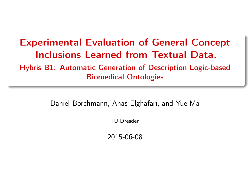### <span id="page-0-0"></span>Experimental Evaluation of General Concept Inclusions Learned from Textual Data. Hybris B1: Automatic Generation of Description Logic-based Biomedical Ontologies

Daniel Borchmann, Anas Elghafari, and Yue Ma

TU Dresden

2015-06-08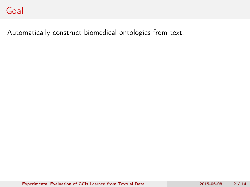Automatically construct biomedical ontologies from text: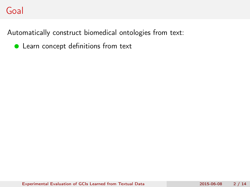Automatically construct biomedical ontologies from text:

**C** Learn concept definitions from text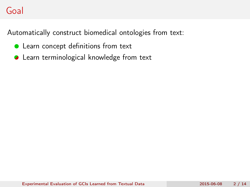Automatically construct biomedical ontologies from text:

- **•** Learn concept definitions from text
- **C** Learn terminological knowledge from text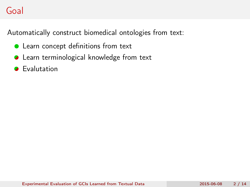Automatically construct biomedical ontologies from text:

- **•** Learn concept definitions from text
- **C** Learn terminological knowledge from text
- **2** Evalutation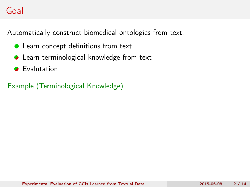Automatically construct biomedical ontologies from text:

- **•** Learn concept definitions from text
- **C** Learn terminological knowledge from text
- **2** Evalutation

Example (Terminological Knowledge)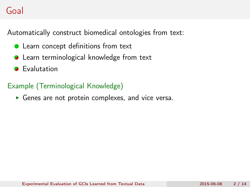Automatically construct biomedical ontologies from text:

- Learn concept definitions from text
- **C** Learn terminological knowledge from text
- **2** Evalutation

### Example (Terminological Knowledge)

Genes are not protein complexes, and vice versa.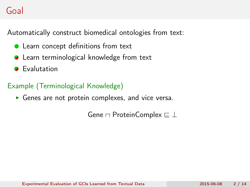Automatically construct biomedical ontologies from text:

- Learn concept definitions from text
- **C** Learn terminological knowledge from text
- **2** Evalutation

### Example (Terminological Knowledge)

Genes are not protein complexes, and vice versa.

Gene  $\sqcap$  ProteinComplex  $\sqsubseteq \bot$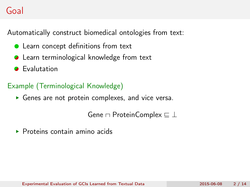Automatically construct biomedical ontologies from text:

- Learn concept definitions from text
- **■** Learn terminological knowledge from text
- **2** Evalutation

### Example (Terminological Knowledge)

Genes are not protein complexes, and vice versa.

```
Gene \sqcap ProteinComplex \sqsubseteq \bot
```
 $\triangleright$  Proteins contain amino acids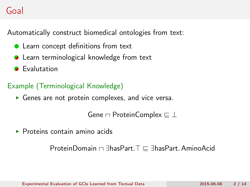Automatically construct biomedical ontologies from text:

- Learn concept definitions from text
- **■** Learn terminological knowledge from text
- **2** Evalutation

### Example (Terminological Knowledge)

Genes are not protein complexes, and vice versa.

```
Gene \sqcap ProteinComplex \sqsubseteq \bot
```
 $\triangleright$  Proteins contain amino acids

ProteinDomain  $\Box$   $\exists$ hasPart. $\top \sqsubseteq \exists$ hasPart. AminoAcid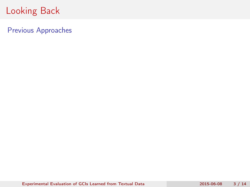Previous Approaches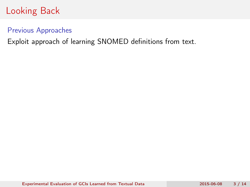#### Previous Approaches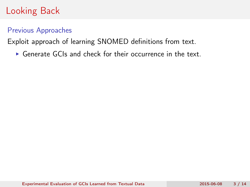### Previous Approaches

Exploit approach of learning SNOMED definitions from text.

Generate GCIs and check for their occurrence in the text.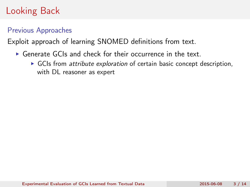#### Previous Approaches

- Generate GCIs and check for their occurrence in the text.
	- $\triangleright$  GCIs from attribute exploration of certain basic concept description, with DL reasoner as expert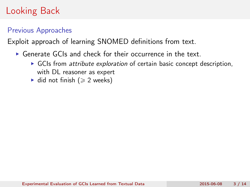### Previous Approaches

- Generate GCIs and check for their occurrence in the text.
	- GCIs from attribute exploration of certain basic concept description, with DL reasoner as expert
	- $\blacktriangleright$  did not finish ( $\geqslant$  2 weeks)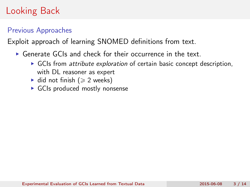### Previous Approaches

- Generate GCIs and check for their occurrence in the text.
	- $\triangleright$  GCIs from *attribute exploration* of certain basic concept description, with DL reasoner as expert
	- $\blacktriangleright$  did not finish ( $\geq 2$  weeks)
	- GCIs produced mostly nonsense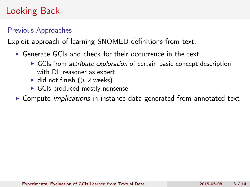### Previous Approaches

- Generate GCIs and check for their occurrence in the text.
	- $\triangleright$  GCIs from *attribute exploration* of certain basic concept description, with DL reasoner as expert
	- $\blacktriangleright$  did not finish ( $\geqslant$  2 weeks)
	- GCIs produced mostly nonsense
- ▶ Compute *implications* in instance-data generated from annotated text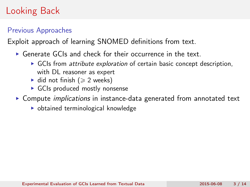### Previous Approaches

- Generate GCIs and check for their occurrence in the text.
	- $\triangleright$  GCIs from *attribute exploration* of certain basic concept description, with DL reasoner as expert
	- $\blacktriangleright$  did not finish ( $\geqslant$  2 weeks)
	- GCIs produced mostly nonsense
- ▶ Compute *implications* in instance-data generated from annotated text
	- obtained terminological knowledge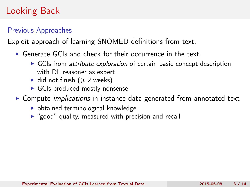### Previous Approaches

- Generate GCIs and check for their occurrence in the text.
	- $\triangleright$  GCIs from *attribute exploration* of certain basic concept description, with DL reasoner as expert
	- $\blacktriangleright$  did not finish ( $\geqslant$  2 weeks)
	- GCIs produced mostly nonsense
- ▶ Compute *implications* in instance-data generated from annotated text
	- obtained terminological knowledge
	- $\triangleright$  "good" quality, measured with precision and recall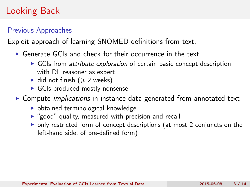### Previous Approaches

- Generate GCIs and check for their occurrence in the text.
	- $\triangleright$  GCIs from *attribute exploration* of certain basic concept description, with DL reasoner as expert
	- $\blacktriangleright$  did not finish ( $\geqslant$  2 weeks)
	- GCIs produced mostly nonsense
- ▶ Compute *implications* in instance-data generated from annotated text
	- obtained terminological knowledge
	- $\triangleright$  "good" quality, measured with precision and recall
	- only restricted form of concept descriptions (at most 2 conjuncts on the left-hand side, of pre-defined form)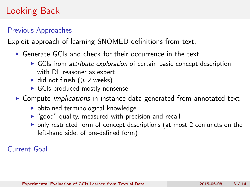### Previous Approaches

Exploit approach of learning SNOMED definitions from text.

- Generate GCIs and check for their occurrence in the text.
	- $\triangleright$  GCIs from *attribute exploration* of certain basic concept description, with DL reasoner as expert
	- $\blacktriangleright$  did not finish ( $\geqslant$  2 weeks)
	- GCIs produced mostly nonsense
- ▶ Compute *implications* in instance-data generated from annotated text
	- obtained terminological knowledge
	- $\triangleright$  "good" quality, measured with precision and recall
	- only restricted form of concept descriptions (at most 2 conjuncts on the left-hand side, of pre-defined form)

#### Current Goal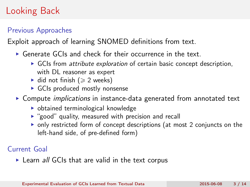### Previous Approaches

Exploit approach of learning SNOMED definitions from text.

- Generate GCIs and check for their occurrence in the text.
	- $\triangleright$  GCIs from *attribute exploration* of certain basic concept description, with DL reasoner as expert
	- $\blacktriangleright$  did not finish ( $\geq 2$  weeks)
	- GCIs produced mostly nonsense
- ▶ Compute *implications* in instance-data generated from annotated text
	- obtained terminological knowledge
	- $\triangleright$  "good" quality, measured with precision and recall
	- only restricted form of concept descriptions (at most 2 conjuncts on the left-hand side, of pre-defined form)

#### Current Goal

▶ Learn all GCIs that are valid in the text corpus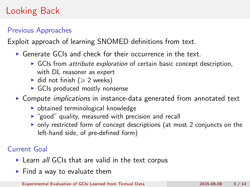### Previous Approaches

Exploit approach of learning SNOMED definitions from text.

- Generate GCIs and check for their occurrence in the text.
	- $\triangleright$  GCIs from *attribute exploration* of certain basic concept description, with DL reasoner as expert
	- $\blacktriangleright$  did not finish ( $\geq 2$  weeks)
	- GCIs produced mostly nonsense
- ▶ Compute *implications* in instance-data generated from annotated text
	- obtained terminological knowledge
	- $\triangleright$  "good" quality, measured with precision and recall
	- only restricted form of concept descriptions (at most 2 conjuncts on the left-hand side, of pre-defined form)

### Current Goal

- ▶ Learn all GCIs that are valid in the text corpus
- $\blacktriangleright$  Find a way to evaluate them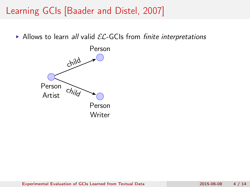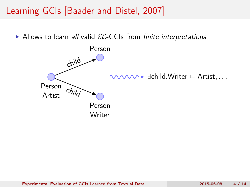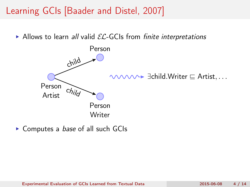Allows to learn all valid  $\mathcal{EL}\text{-GCls}$  from finite interpretations



▶ Computes a *base* of all such GCIs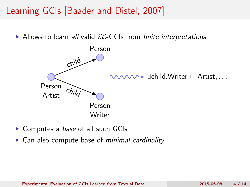

- ▶ Computes a *base* of all such GCIs
- ► Can also compute base of *minimal cardinality*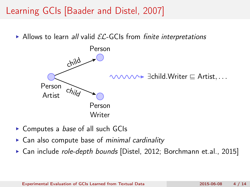

- ▶ Computes a *base* of all such GCIs
- ► Can also compute base of *minimal cardinality*
- ▶ Can include *role-depth bounds* [Distel, 2012; Borchmann et.al., 2015]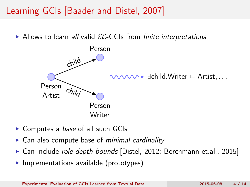

- ▶ Computes a *base* of all such GCIs
- ► Can also compute base of *minimal cardinality*
- ► Can include *role-depth bounds* [Distel, 2012; Borchmann et.al., 2015]
- $\triangleright$  Implementations available (prototypes)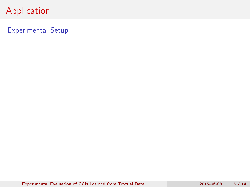Experimental Setup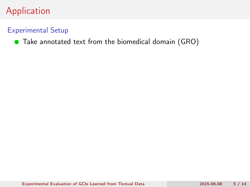### Experimental Setup

#### ● Take annotated text from the biomedical domain (GRO)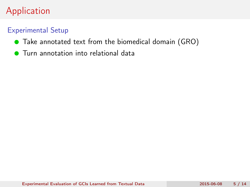### Experimental Setup

- Take annotated text from the biomedical domain (GRO)
- **Turn annotation into relational data**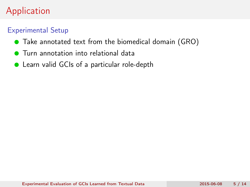### Experimental Setup

- Take annotated text from the biomedical domain (GRO)
- **Turn annotation into relational data**
- Learn valid GCIs of a particular role-depth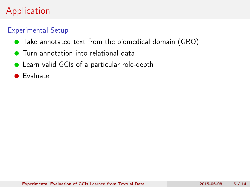### Experimental Setup

- Take annotated text from the biomedical domain (GRO)
- **Turn annotation into relational data**
- Learn valid GCIs of a particular role-depth
- **•** Evaluate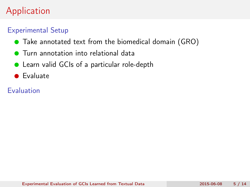### Experimental Setup

- Take annotated text from the biomedical domain (GRO)
- **Turn annotation into relational data**
- Learn valid GCIs of a particular role-depth
- **•** Evaluate

### Evaluation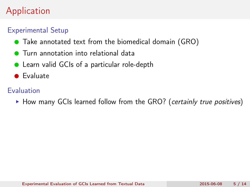### Experimental Setup

- Take annotated text from the biomedical domain (GRO)
- Turn annotation into relational data
- Learn valid GCIs of a particular role-depth
- **•** Evaluate

### Evaluation

▶ How many GCIs learned follow from the GRO? (certainly true positives)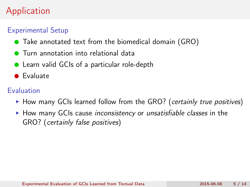### Experimental Setup

- Take annotated text from the biomedical domain (GRO)
- **•** Turn annotation into relational data
- Learn valid GCIs of a particular role-depth
- **•** Evaluate

### Evaluation

- $\triangleright$  How many GCIs learned follow from the GRO? (certainly true positives)
- $\triangleright$  How many GCIs cause *inconsistency* or *unsatisfiable classes* in the GRO? (certainly false positives)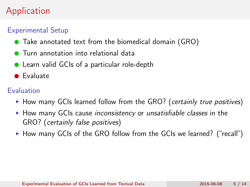### Experimental Setup

- Take annotated text from the biomedical domain (GRO)
- **•** Turn annotation into relational data
- Learn valid GCIs of a particular role-depth
- **•** Evaluate

### Evaluation

- $\triangleright$  How many GCIs learned follow from the GRO? (certainly true positives)
- $\blacktriangleright$  How many GCIs cause inconsistency or unsatisfiable classes in the GRO? (certainly false positives)
- $\triangleright$  How many GCIs of the GRO follow from the GCIs we learned? ("recall")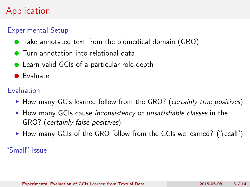### Experimental Setup

- Take annotated text from the biomedical domain (GRO)
- **•** Turn annotation into relational data
- Learn valid GCIs of a particular role-depth
- **•** Evaluate

### Evaluation

- $\triangleright$  How many GCIs learned follow from the GRO? (certainly true positives)
- $\triangleright$  How many GCIs cause *inconsistency* or *unsatisfiable classes* in the GRO? (certainly false positives)
- $\triangleright$  How many GCIs of the GRO follow from the GCIs we learned? ("recall")

"Small" Issue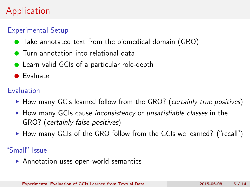### Experimental Setup

- Take annotated text from the biomedical domain (GRO)
- **•** Turn annotation into relational data
- Learn valid GCIs of a particular role-depth
- **•** Evaluate

### Evaluation

- $\triangleright$  How many GCIs learned follow from the GRO? (certainly true positives)
- $\blacktriangleright$  How many GCIs cause inconsistency or unsatisfiable classes in the GRO? (certainly false positives)
- $\triangleright$  How many GCIs of the GRO follow from the GCIs we learned? ("recall")

"Small" Issue

▶ Annotation uses open-world semantics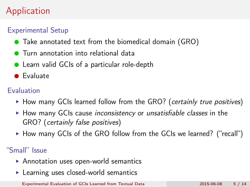### Experimental Setup

- Take annotated text from the biomedical domain (GRO)
- **•** Turn annotation into relational data
- Learn valid GCIs of a particular role-depth
- **•** Evaluate

### Evaluation

- $\triangleright$  How many GCIs learned follow from the GRO? (certainly true positives)
- $\blacktriangleright$  How many GCIs cause inconsistency or unsatisfiable classes in the GRO? (certainly false positives)
- $\triangleright$  How many GCIs of the GRO follow from the GCIs we learned? ("recall")

"Small" Issue

- ▶ Annotation uses open-world semantics
- ▶ Learning uses closed-world semantics

[Experimental Evaluation of GCIs Learned from Textual Data](#page-0-0) 2015-06-08 5 / 14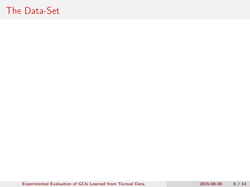[Experimental Evaluation of GCIs Learned from Textual Data](#page-0-0) 2015-06-08 6 / 14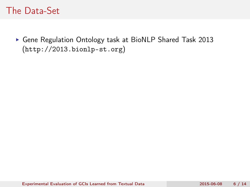Gene Regulation Ontology task at BioNLP Shared Task 2013 (<http://2013.bionlp-st.org>)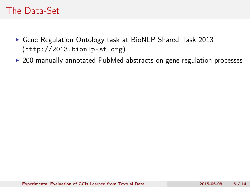- Gene Regulation Ontology task at BioNLP Shared Task 2013 (<http://2013.bionlp-st.org>)
- ▶ 200 manually annotated PubMed abstracts on gene regulation processes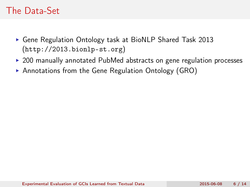- Gene Regulation Ontology task at BioNLP Shared Task 2013 (<http://2013.bionlp-st.org>)
- ▶ 200 manually annotated PubMed abstracts on gene regulation processes
- ▶ Annotations from the Gene Regulation Ontology (GRO)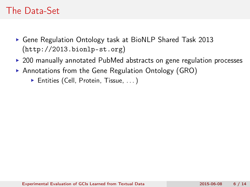- Gene Regulation Ontology task at BioNLP Shared Task 2013 (<http://2013.bionlp-st.org>)
- ▶ 200 manually annotated PubMed abstracts on gene regulation processes
- ▶ Annotations from the Gene Regulation Ontology (GRO)
	- ▶ Entities (Cell, Protein, Tissue, ...)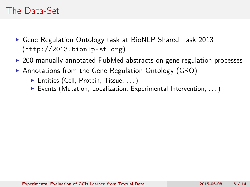- ▶ Gene Regulation Ontology task at BioNLP Shared Task 2013 (<http://2013.bionlp-st.org>)
- ► 200 manually annotated PubMed abstracts on gene regulation processes
- ▶ Annotations from the Gene Regulation Ontology (GRO)
	- ▶ Entities (Cell, Protein, Tissue, ...)
	- Events (Mutation, Localization, Experimental Intervention, . . . )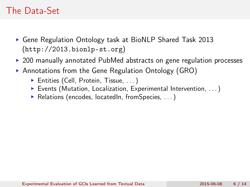- ▶ Gene Regulation Ontology task at BioNLP Shared Task 2013 (<http://2013.bionlp-st.org>)
- ► 200 manually annotated PubMed abstracts on gene regulation processes
- ▶ Annotations from the Gene Regulation Ontology (GRO)
	- ▶ Entities (Cell, Protein, Tissue, ...)
	- Events (Mutation, Localization, Experimental Intervention, . . . )
	- ▶ Relations (encodes, locatedIn, fromSpecies, ...)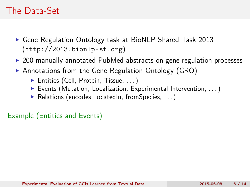- ▶ Gene Regulation Ontology task at BioNLP Shared Task 2013 (<http://2013.bionlp-st.org>)
- ▶ 200 manually annotated PubMed abstracts on gene regulation processes
- ▶ Annotations from the Gene Regulation Ontology (GRO)
	- ▶ Entities (Cell, Protein, Tissue, ...)
	- Events (Mutation, Localization, Experimental Intervention, . . . )
	- ▶ Relations (encodes, locatedIn, fromSpecies, ...)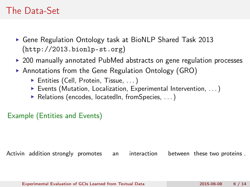- ▶ Gene Regulation Ontology task at BioNLP Shared Task 2013 (<http://2013.bionlp-st.org>)
- ▶ 200 manually annotated PubMed abstracts on gene regulation processes
- ▶ Annotations from the Gene Regulation Ontology (GRO)
	- ▶ Entities (Cell, Protein, Tissue, ...)
	- Events (Mutation, Localization, Experimental Intervention, . . . )
	- ▶ Relations (encodes, locatedIn, fromSpecies, ...)

#### Example (Entities and Events)

Activin addition strongly promotes an interaction between these two proteins .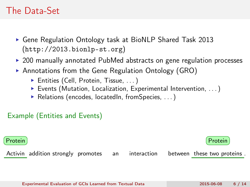- ▶ Gene Regulation Ontology task at BioNLP Shared Task 2013 (<http://2013.bionlp-st.org>)
- ▶ 200 manually annotated PubMed abstracts on gene regulation processes
- ▶ Annotations from the Gene Regulation Ontology (GRO)
	- ▶ Entities (Cell, Protein, Tissue, ...)
	- Events (Mutation, Localization, Experimental Intervention, . . . )
	- ▶ Relations (encodes, locatedIn, fromSpecies, ...)

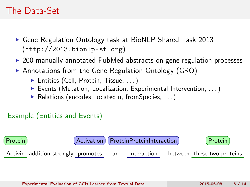- ▶ Gene Regulation Ontology task at BioNLP Shared Task 2013 (<http://2013.bionlp-st.org>)
- ▶ 200 manually annotated PubMed abstracts on gene regulation processes
- ▶ Annotations from the Gene Regulation Ontology (GRO)
	- ▶ Entities (Cell, Protein, Tissue, ...)
	- Events (Mutation, Localization, Experimental Intervention, . . . )
	- ▶ Relations (encodes, locatedIn, fromSpecies, ...)

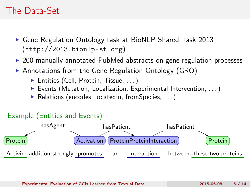- ▶ Gene Regulation Ontology task at BioNLP Shared Task 2013 (<http://2013.bionlp-st.org>)
- ▶ 200 manually annotated PubMed abstracts on gene regulation processes
- ▶ Annotations from the Gene Regulation Ontology (GRO)
	- ▶ Entities (Cell, Protein, Tissue, ...)
	- Events (Mutation, Localization, Experimental Intervention, . . . )
	- ▶ Relations (encodes, locatedIn, fromSpecies, ...)

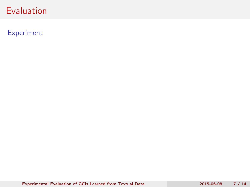#### Experiment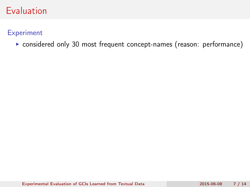Experiment

considered only 30 most frequent concept-names (reason: performance)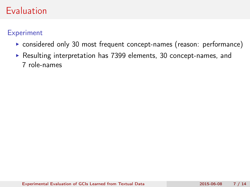**Experiment** 

- considered only 30 most frequent concept-names (reason: performance)
- Resulting interpretation has 7399 elements, 30 concept-names, and 7 role-names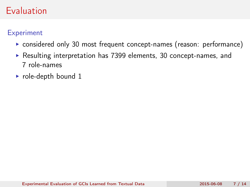### **Experiment**

- considered only 30 most frequent concept-names (reason: performance)
- Resulting interpretation has 7399 elements, 30 concept-names, and 7 role-names
- $\triangleright$  role-depth bound 1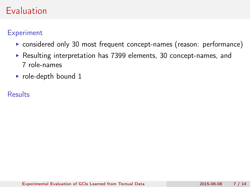### **Experiment**

- considered only 30 most frequent concept-names (reason: performance)
- Resulting interpretation has 7399 elements, 30 concept-names, and 7 role-names
- $\triangleright$  role-depth bound 1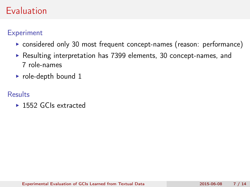### **Experiment**

- considered only 30 most frequent concept-names (reason: performance)
- Resulting interpretation has 7399 elements, 30 concept-names, and 7 role-names
- role-depth bound  $1$

#### **Results**

▶ 1552 GCIs extracted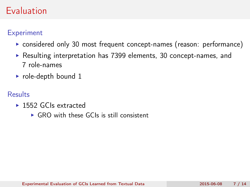### **Experiment**

- considered only 30 most frequent concept-names (reason: performance)
- Resulting interpretation has 7399 elements, 30 concept-names, and 7 role-names
- role-depth bound 1

- ▶ 1552 GCIs extracted
	- ▶ GRO with these GCIs is still consistent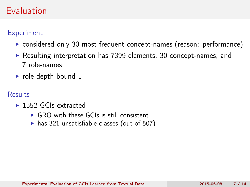### **Experiment**

- ► considered only 30 most frequent concept-names (reason: performance)
- Resulting interpretation has 7399 elements, 30 concept-names, and 7 role-names
- role-depth bound 1

- ▶ 1552 GCIs extracted
	- $\triangleright$  GRO with these GCIs is still consistent
	- $\triangleright$  has 321 unsatisfiable classes (out of 507)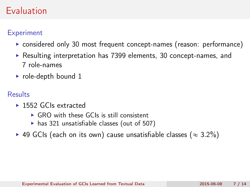### **Experiment**

- ► considered only 30 most frequent concept-names (reason: performance)
- Resulting interpretation has 7399 elements, 30 concept-names, and 7 role-names
- role-depth bound 1

- ▶ 1552 GCIs extracted
	- $\triangleright$  GRO with these GCIs is still consistent
	- $\triangleright$  has 321 unsatisfiable classes (out of 507)
- ▶ 49 GCIs (each on its own) cause unsatisfiable classes ( $\approx$  3.2%)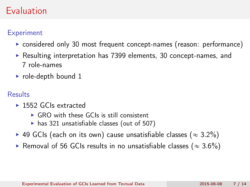### **Experiment**

- ► considered only 30 most frequent concept-names (reason: performance)
- Resulting interpretation has 7399 elements, 30 concept-names, and 7 role-names
- role-depth bound 1

- ▶ 1552 GCIs extracted
	- $\triangleright$  GRO with these GCIs is still consistent
	- $\triangleright$  has 321 unsatisfiable classes (out of 507)
- ▶ 49 GCIs (each on its own) cause unsatisfiable classes ( $\approx$  3.2%)
- Removal of 56 GCIs results in no unsatisfiable classes ( $\approx 3.6\%$ )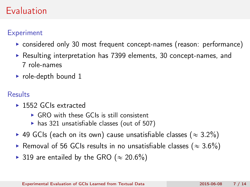### **Experiment**

- considered only 30 most frequent concept-names (reason: performance)
- Resulting interpretation has 7399 elements, 30 concept-names, and 7 role-names
- role-depth bound 1

- ▶ 1552 GCIs extracted
	- $\triangleright$  GRO with these GCIs is still consistent
	- $\triangleright$  has 321 unsatisfiable classes (out of 507)
- ▶ 49 GCIs (each on its own) cause unsatisfiable classes ( $\approx$  3.2%)
- Removal of 56 GCIs results in no unsatisfiable classes ( $\approx 3.6\%$ )
- ▶ 319 are entailed by the GRO ( $\approx 20.6\%$ )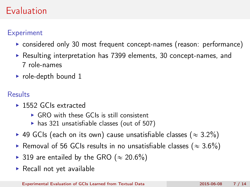### **Experiment**

- considered only 30 most frequent concept-names (reason: performance)
- Resulting interpretation has 7399 elements, 30 concept-names, and 7 role-names
- role-depth bound 1

- ▶ 1552 GCIs extracted
	- $\triangleright$  GRO with these GCIs is still consistent
	- $\triangleright$  has 321 unsatisfiable classes (out of 507)
- ▶ 49 GCIs (each on its own) cause unsatisfiable classes ( $\approx$  3.2%)
- Removal of 56 GCIs results in no unsatisfiable classes ( $\approx 3.6\%$ )
- ▶ 319 are entailed by the GRO ( $\approx 20.6\%$ )
- $\triangleright$  Recall not yet available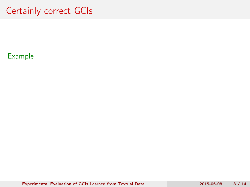## Certainly correct GCIs

### Example

[Experimental Evaluation of GCIs Learned from Textual Data](#page-0-0) 2015-06-08 8 / 14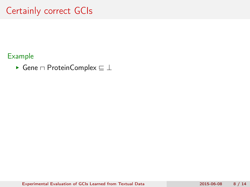# Certainly correct GCIs

#### Example

 $\blacktriangleright$  Gene  $\sqcap$  ProteinComplex  $\sqsubseteq \bot$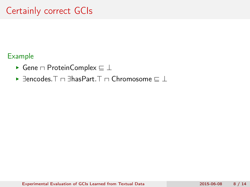- Gene  $\sqcap$  ProteinComplex  $\sqsubseteq \bot$
- $\blacktriangleright$   $\exists$ encodes. $\top \cap \exists$ hasPart. $\top \cap$  Chromosome  $\sqsubset \bot$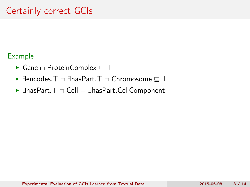- $\blacktriangleright$  Gene  $\sqcap$  ProteinComplex  $\sqsubseteq \bot$
- $\blacktriangleright$   $\exists$ encodes. $\top$   $\sqcap$   $\exists$ hasPart. $\top$   $\sqcap$  Chromosome  $\sqsubseteq$   $\bot$
- $\blacktriangleright$   $\exists$ hasPart. $\top$   $\cap$  Cell  $\sqsubseteq$   $\exists$ hasPart.CellComponent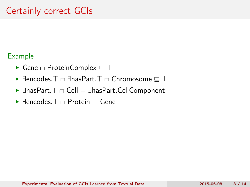- $\blacktriangleright$  Gene  $\sqcap$  ProteinComplex  $\sqsubseteq \bot$
- $\blacktriangleright$   $\exists$ encodes. $\top \cap \exists$ hasPart. $\top \cap$  Chromosome  $\sqsubset \bot$
- $\blacktriangleright$   $\exists$ hasPart. $\top$   $\cap$  Cell  $\sqsubseteq$   $\exists$ hasPart.CellComponent
- $\blacktriangleright$   $\exists$ encodes.  $\top$   $\sqcap$  Protein  $\sqsubset$  Gene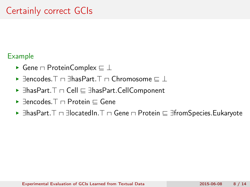- Gene  $\sqcap$  ProteinComplex  $\sqsubseteq \bot$
- $\blacktriangleright$  Fencodes.  $\top \sqcap$  FhasPart.  $\top \sqcap$  Chromosome  $\sqsubset \bot$
- $\blacktriangleright$   $\exists$ hasPart. $\top$   $\cap$  Cell  $\sqsubseteq$   $\exists$ hasPart.CellComponent
- $\blacktriangleright$   $\exists$ encodes.  $\top$   $\sqcap$  Protein  $\sqsubset$  Gene
- $\blacktriangleright$   $\exists$ hasPart. $\top$   $\sqcap$   $\exists$ locatedIn. $\top$   $\sqcap$  Gene  $\sqcap$  Protein  $\sqsubseteq$   $\exists$ fromSpecies.Eukaryote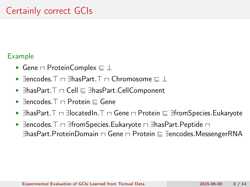- Gene  $\sqcap$  ProteinComplex  $\sqsubseteq \bot$
- $\blacktriangleright$  Fencodes.  $\top \sqcap$  FhasPart.  $\top \sqcap$  Chromosome  $\sqsubset \bot$
- $\blacktriangleright$   $\exists$ hasPart. $\top$   $\cap$  Cell  $\sqsubseteq$   $\exists$ hasPart.CellComponent
- $\blacktriangleright$   $\exists$ encodes. $\top$   $\sqcap$  Protein  $\sqsubset$  Gene
- $\blacktriangleright$   $\exists$ hasPart.  $\top$   $\sqcap$   $\exists$ locatedIn.  $\top$   $\sqcap$  Gene  $\sqcap$  Protein  $\sqsubseteq$   $\exists$ fromSpecies.Eukaryote
- $\blacktriangleright$   $\exists$ encodes.  $\top$   $\sqcap$   $\exists$ fromSpecies. Eukaryote  $\sqcap$   $\exists$ hasPart. Peptide  $\sqcap$  $\exists$ hasPart.ProteinDomain  $\Box$  Gene  $\Box$  Protein  $\sqsubseteq$   $\exists$ encodes.MessengerRNA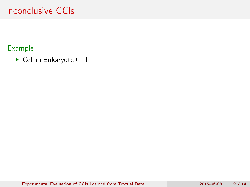#### Example

 $\blacktriangleright$  Cell  $\sqcap$  Eukaryote  $\sqsubseteq \bot$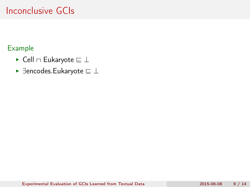- $\blacktriangleright$  Cell  $\sqcap$  Eukaryote  $\sqsubseteq \bot$
- $\blacktriangleright$   $\exists$ encodes.Eukaryote  $\sqsubseteq \bot$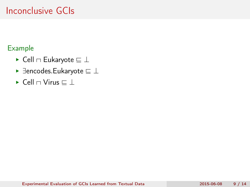- $\blacktriangleright$  Cell  $\sqcap$  Eukaryote  $\sqsubseteq \bot$
- $\blacktriangleright$   $\exists$ encodes.Eukaryote  $\sqsubseteq \bot$
- $\blacktriangleright$  Cell  $\sqcap$  Virus  $\sqsubseteq \bot$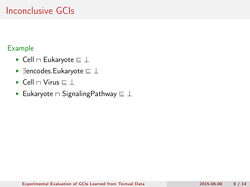- $\blacktriangleright$  Cell  $\sqcap$  Eukaryote  $\sqsubseteq \bot$
- $\blacktriangleright$   $\exists$ encodes.Eukaryote  $\sqsubseteq \bot$
- $\blacktriangleright$  Cell  $\sqcap$  Virus  $\sqsubseteq \bot$
- $\blacktriangleright$  Eukaryote  $\sqcap$  SignalingPathway  $\sqsubseteq \bot$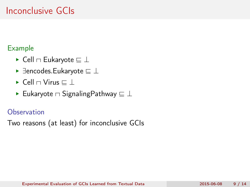#### Example

- $\blacktriangleright$  Cell  $\sqcap$  Eukaryote  $\sqsubseteq \bot$
- $\blacktriangleright$   $\exists$ encodes.Eukaryote  $\sqsubseteq \bot$
- $\blacktriangleright$  Cell  $\sqcap$  Virus  $\sqsubset \bot$
- Eukaryote  $\sqcap$  SignalingPathway  $\sqsubseteq \bot$

#### **Observation**

Two reasons (at least) for inconclusive GCIs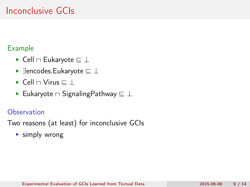#### Example

- $\blacktriangleright$  Cell  $\sqcap$  Eukaryote  $\sqsubseteq \bot$
- $\blacktriangleright$   $\exists$ encodes.Eukaryote  $\sqsubseteq \bot$
- $\blacktriangleright$  Cell  $\sqcap$  Virus  $\sqsubset \bot$
- Eukaryote  $\sqcap$  SignalingPathway  $\sqsubseteq \bot$

### **Observation**

Two reasons (at least) for inconclusive GCIs

**Examply wrong**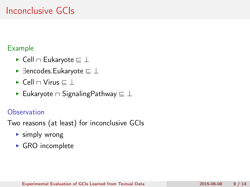#### Example

- $\blacktriangleright$  Cell  $\sqcap$  Eukaryote  $\sqsubseteq \bot$
- $\blacktriangleright$   $\exists$ encodes.Eukaryote  $\sqsubseteq \bot$
- $\blacktriangleright$  Cell  $\sqcap$  Virus  $\sqsubset \bot$
- Eukaryote  $\sqcap$  SignalingPathway  $\sqsubseteq \bot$

### **Observation**

Two reasons (at least) for inconclusive GCIs

- **Examply wrong**
- ▶ GRO incomplete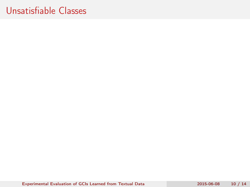[Experimental Evaluation of GCIs Learned from Textual Data](#page-0-0) 2015-06-08 10 / 14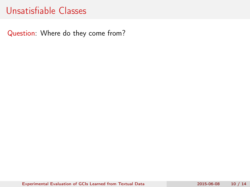Question: Where do they come from?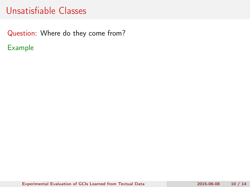Question: Where do they come from? Example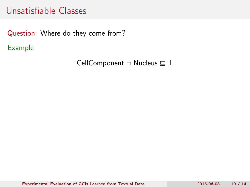Question: Where do they come from? Example

CellComponent  $\sqcap$  Nucleus  $\sqsubseteq \bot$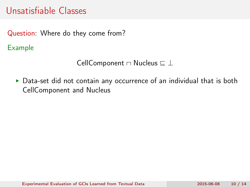Question: Where do they come from?

Example

CellComponent  $\sqcap$  Nucleus  $\sqsubseteq \bot$ 

Data-set did not contain any occurrence of an individual that is both CellComponent and Nucleus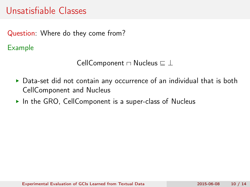Question: Where do they come from?

Example

CellComponent  $\sqcap$  Nucleus  $\sqsubseteq \bot$ 

- Data-set did not contain any occurrence of an individual that is both CellComponent and Nucleus
- $\triangleright$  In the GRO, CellComponent is a super-class of Nucleus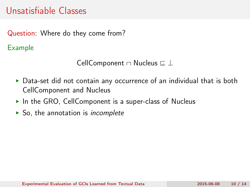Question: Where do they come from?

Example

CellComponent  $\sqcap$  Nucleus  $\sqsubseteq \bot$ 

- ▶ Data-set did not contain any occurrence of an individual that is both CellComponent and Nucleus
- $\triangleright$  In the GRO, CellComponent is a super-class of Nucleus
- $\triangleright$  So, the annotation is *incomplete*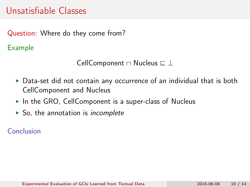Question: Where do they come from?

Example

CellComponent  $\sqcap$  Nucleus  $\sqsubseteq \bot$ 

- ▶ Data-set did not contain any occurrence of an individual that is both CellComponent and Nucleus
- $\triangleright$  In the GRO, CellComponent is a super-class of Nucleus
- $\triangleright$  So, the annotation is *incomplete*

Conclusion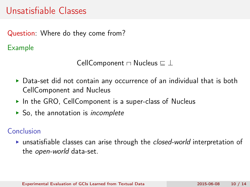Question: Where do they come from?

Example

CellComponent  $\sqcap$  Nucleus  $\sqsubseteq \bot$ 

- Data-set did not contain any occurrence of an individual that is both CellComponent and Nucleus
- $\triangleright$  In the GRO, CellComponent is a super-class of Nucleus
- $\triangleright$  So, the annotation is *incomplete*

#### Conclusion

unsatisfiable classes can arise through the closed-world interpretation of the open-world data-set.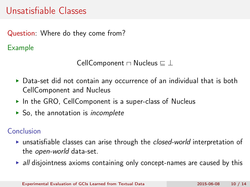Question: Where do they come from?

Example

CellComponent  $\sqcap$  Nucleus  $\sqsubseteq \bot$ 

- ▶ Data-set did not contain any occurrence of an individual that is both CellComponent and Nucleus
- $\triangleright$  In the GRO, CellComponent is a super-class of Nucleus
- $\triangleright$  So, the annotation is *incomplete*

#### Conclusion

- unsatisfiable classes can arise through the closed-world interpretation of the open-world data-set.
- $\rightarrow$  all disjointness axioms containing only concept-names are caused by this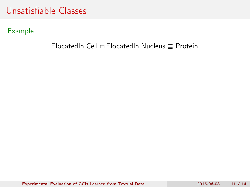Example

#### $\exists$ locatedIn.Cell  $\cap$   $\exists$ locatedIn.Nucleus  $\sqsubset$  Protein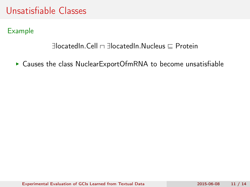Example

#### $\exists$ locatedIn.Cell  $\Box$   $\exists$ locatedIn.Nucleus  $\Box$  Protein

▶ Causes the class NuclearExportOfmRNA to become unsatisfiable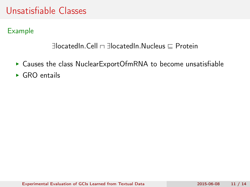Example

#### $\exists$ locatedIn.Cell  $\Box$   $\exists$ locatedIn.Nucleus  $\Box$  Protein

- ▶ Causes the class NuclearExportOfmRNA to become unsatisfiable
- $\triangleright$  GRO entails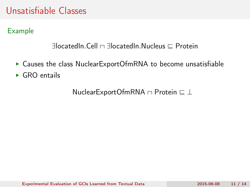Example

#### $\exists$ locatedIn.Cell  $\Box$   $\exists$ locatedIn.Nucleus  $\Box$  Protein

- ▶ Causes the class NuclearExportOfmRNA to become unsatisfiable
- $\triangleright$  GRO entails

NuclearExportOfmRNA  $\sqcap$  Protein  $\sqsubseteq \bot$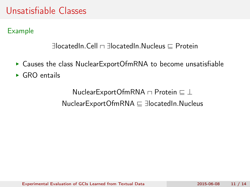Example

```
\existslocatedIn.Cell \Box \existslocatedIn.Nucleus \Box Protein
```
- ▶ Causes the class NuclearExportOfmRNA to become unsatisfiable
- $\triangleright$  GRO entails

NuclearExportOfmRNA  $\sqcap$  Protein  $\sqsubseteq \bot$  $NuclearExportOfmRNA \nsubseteq \exists locatedIn.Nucleus$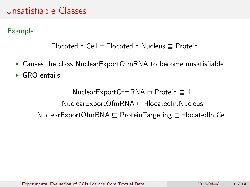Example

```
\existslocatedIn.Cell \Box \existslocatedIn.Nucleus \Box Protein
```
- ▶ Causes the class NuclearExportOfmRNA to become unsatisfiable
- $\triangleright$  GRO entails

NuclearExportOfmRNA  $\sqcap$  Protein  $\sqsubseteq \bot$  $NuclearExportOfmRNA \nsubseteq \exists locatedIn.Nucleus$  $NuclearExportOfmRNA \subseteq ProteinTargeting \subseteq JlocatedIn.Cell$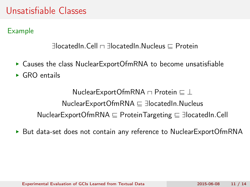Example

#### $\exists$ locatedIn.Cell  $\Box$   $\exists$ locatedIn.Nucleus  $\Box$  Protein

- ▶ Causes the class NuclearExportOfmRNA to become unsatisfiable
- $\triangleright$  GRO entails

NuclearExportOfmRNA  $\sqcap$  Protein  $\sqsubseteq \bot$  $NuclearExportOfmRNA \nsubseteq \exists locatedIn.Nucleus$ NuclearExportOfmRNA  $\sqsubseteq$  ProteinTargeting  $\sqsubseteq$  3locatedIn.Cell

▶ But data-set does not contain any reference to NuclearExportOfmRNA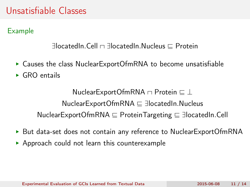Example

#### $\exists$ locatedIn.Cell  $\Box$   $\exists$ locatedIn.Nucleus  $\Box$  Protein

- ▶ Causes the class NuclearExportOfmRNA to become unsatisfiable
- $\triangleright$  GRO entails

NuclearExportOfmRNA  $\sqcap$  Protein  $\sqsubseteq \bot$  $NuclearExportOfmRNA \nsubseteq \exists locatedIn.Nucleus$ NuclearExportOfmRNA  $\sqsubseteq$  ProteinTargeting  $\sqsubseteq$  3locatedIn.Cell

- ▶ But data-set does not contain any reference to NuclearExportOfmRNA
- Approach could not learn this counterexample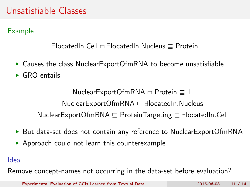Example

#### $\exists$ locatedIn.Cell  $\Box$   $\exists$ locatedIn.Nucleus  $\Box$  Protein

- ▶ Causes the class NuclearExportOfmRNA to become unsatisfiable
- $\triangleright$  GRO entails

NuclearExportOfmRNA  $\sqcap$  Protein  $\sqsubseteq \bot$  $NuclearExportOfmRNA \nsubseteq \exists locatedIn.Nucleus$ NuclearExportOfmRNA  $\sqsubseteq$  ProteinTargeting  $\sqsubseteq$  3locatedIn.Cell

- ▶ But data-set does not contain any reference to NuclearExportOfmRNA
- Approach could not learn this counterexample

Idea

Remove concept-names not occurring in the data-set before evaluation?

[Experimental Evaluation of GCIs Learned from Textual Data](#page-0-0) 2015-06-08 11 / 14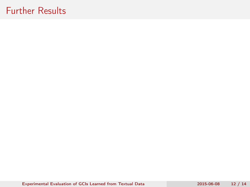### Further Results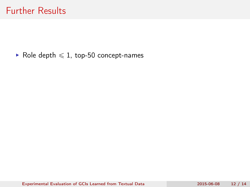#### Role depth  $\leq 1$ , top-50 concept-names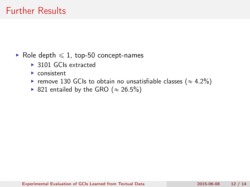## Further Results

Role depth  $\leq 1$ , top-50 concept-names

- ▶ 3101 GCIs extracted
- ▶ consistent
- remove 130 GCIs to obtain no unsatisfiable classes ( $\approx 4.2\%$ )
- ▶ 821 entailed by the GRO ( $\approx$  26.5%)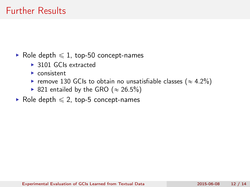- Role depth  $\leq 1$ , top-50 concept-names
	- ▶ 3101 GCIs extracted
	- $\blacktriangleright$  consistent
	- remove 130 GCIs to obtain no unsatisfiable classes ( $\approx 4.2\%$ )
	- ▶ 821 entailed by the GRO ( $\approx$  26.5%)
- Role depth  $\leq 2$ , top-5 concept-names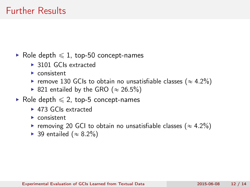Role depth  $\leq 1$ , top-50 concept-names

- ▶ 3101 GCIs extracted
- ▶ consistent
- remove 130 GCIs to obtain no unsatisfiable classes ( $\approx 4.2\%$ )
- ▶ 821 entailed by the GRO ( $\approx$  26.5%)
- Role depth  $\leq 2$ , top-5 concept-names
	- ► 473 GCIs extracted
	- ▶ consistent
	- removing 20 GCI to obtain no unsatisfiable classes ( $\approx 4.2\%$ )
	- ▶ 39 entailed ( $\approx$  8.2%)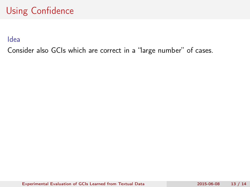Idea

Consider also GCIs which are correct in a "large number" of cases.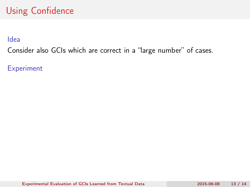Idea

Consider also GCIs which are correct in a "large number" of cases.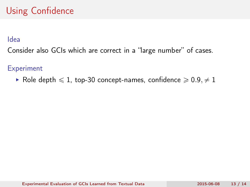### Idea

Consider also GCIs which are correct in a "large number" of cases.

### **Experiment**

Role depth  $\leq 1$ , top-30 concept-names, confidence  $\geq 0.9, \neq 1$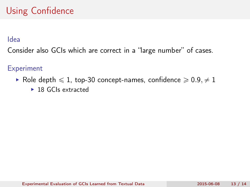### Idea

Consider also GCIs which are correct in a "large number" of cases.

- Role depth  $\leq 1$ , top-30 concept-names, confidence  $\geq 0.9, \neq 1$ 
	- ▶ 18 GCIs extracted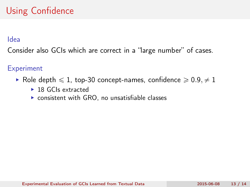### Idea

Consider also GCIs which are correct in a "large number" of cases.

- Role depth  $\leq 1$ , top-30 concept-names, confidence  $\geq 0.9, \neq 1$ 
	- ▶ 18 GCIs extracted
	- ▶ consistent with GRO, no unsatisfiable classes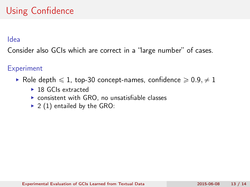### Idea

Consider also GCIs which are correct in a "large number" of cases.

- Role depth  $\leq 1$ , top-30 concept-names, confidence  $\geq 0.9, \neq 1$ 
	- ▶ 18 GCIs extracted
	- ▶ consistent with GRO, no unsatisfiable classes
	- $\triangleright$  2 (1) entailed by the GRO: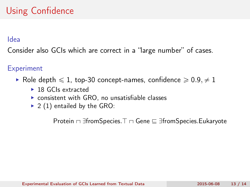### Idea

Consider also GCIs which are correct in a "large number" of cases.

### **Experiment**

- Role depth  $\leq 1$ , top-30 concept-names, confidence  $\geq 0.9, \neq 1$ 
	- ▶ 18 GCIs extracted
	- ▶ consistent with GRO, no unsatisfiable classes
	- $\triangleright$  2 (1) entailed by the GRO:

Protein  $\Box$   $\exists$  fromSpecies.  $\top$   $\Box$  Gene  $\sqsubseteq$   $\exists$  fromSpecies. Eukaryote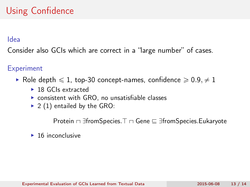### Idea

Consider also GCIs which are correct in a "large number" of cases.

### **Experiment**

- Role depth  $\leq 1$ , top-30 concept-names, confidence  $\geq 0.9, \neq 1$ 
	- ▶ 18 GCIs extracted
	- ▶ consistent with GRO, no unsatisfiable classes
	- $\triangleright$  2 (1) entailed by the GRO:

Protein  $\Box$   $\exists$  fromSpecies. $\top$   $\Box$  Gene  $\sqsubseteq$   $\exists$  fromSpecies.Eukaryote

 $\blacktriangleright$  16 inconclusive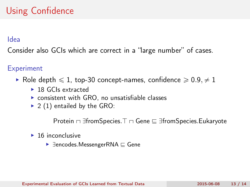### Idea

Consider also GCIs which are correct in a "large number" of cases.

### **Experiment**

- Role depth  $\leq 1$ , top-30 concept-names, confidence  $\geq 0.9, \neq 1$ 
	- ▶ 18 GCIs extracted
	- ▶ consistent with GRO, no unsatisfiable classes
	- $\triangleright$  2 (1) entailed by the GRO:

Protein  $\Box$   $\exists$  fromSpecies. $\top$   $\Box$  Gene  $\sqsubseteq$   $\exists$  fromSpecies.Eukaryote

- $\blacktriangleright$  16 inconclusive
	- $\blacktriangleright$   $\exists$ encodes.MessengerRNA  $\sqsubseteq$  Gene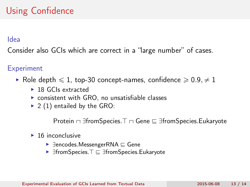#### Idea

Consider also GCIs which are correct in a "large number" of cases.

### **Experiment**

- Role depth  $\leq 1$ , top-30 concept-names, confidence  $\geq 0.9, \neq 1$ 
	- ▶ 18 GCIs extracted
	- ▶ consistent with GRO, no unsatisfiable classes
	- $\triangleright$  2 (1) entailed by the GRO:

Protein  $\Box$  IfromSpecies.  $\top$   $\Box$  Gene  $\sqsubseteq$  IfromSpecies. Eukaryote

- $\blacktriangleright$  16 inconclusive
	- $\blacktriangleright$   $\exists$ encodes.MessengerRNA  $\sqsubseteq$  Gene
	- $\blacktriangleright$   $\exists$ fromSpecies. $\top \sqsubseteq \exists$ fromSpecies.Eukaryote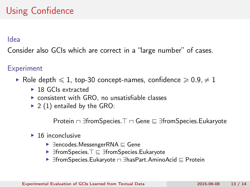#### Idea

Consider also GCIs which are correct in a "large number" of cases.

### **Experiment**

- Role depth  $\leq 1$ , top-30 concept-names, confidence  $\geq 0.9, \neq 1$ 
	- ▶ 18 GCIs extracted
	- ▶ consistent with GRO, no unsatisfiable classes
	- $\triangleright$  2 (1) entailed by the GRO:

Protein  $\Box$  3fromSpecies. $\top$   $\Box$  Gene  $\sqsubseteq$  3fromSpecies.Eukaryote

- $\blacktriangleright$  16 inconclusive
	- $\blacktriangleright$   $\exists$ encodes.MessengerRNA  $\sqsubseteq$  Gene
	- $\blacktriangleright$   $\exists$ fromSpecies. $\top \sqsubseteq \exists$ fromSpecies.Eukaryote
	- $\blacktriangleright$   $\exists$ fromSpecies.Eukaryote  $\sqcap$   $\exists$ hasPart.AminoAcid  $\sqsubseteq$  Protein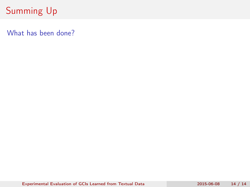What has been done?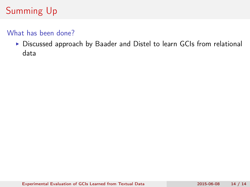### What has been done?

Discussed approach by Baader and Distel to learn GCIs from relational data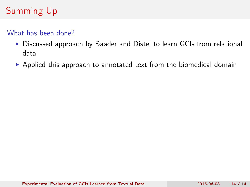### What has been done?

- ▶ Discussed approach by Baader and Distel to learn GCIs from relational data
- Applied this approach to annotated text from the biomedical domain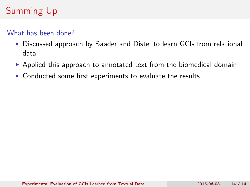### What has been done?

- ▶ Discussed approach by Baader and Distel to learn GCIs from relational data
- Applied this approach to annotated text from the biomedical domain
- ▶ Conducted some first experiments to evaluate the results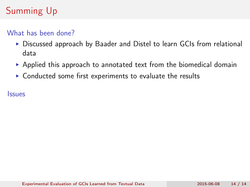### What has been done?

- ▶ Discussed approach by Baader and Distel to learn GCIs from relational data
- Applied this approach to annotated text from the biomedical domain
- ▶ Conducted some first experiments to evaluate the results

**Issues**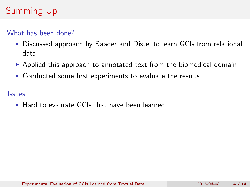### What has been done?

- ► Discussed approach by Baader and Distel to learn GCIs from relational data
- Applied this approach to annotated text from the biomedical domain
- ▶ Conducted some first experiments to evaluate the results

#### **Issues**

▶ Hard to evaluate GCIs that have been learned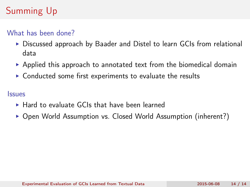### What has been done?

- ► Discussed approach by Baader and Distel to learn GCIs from relational data
- $\triangleright$  Applied this approach to annotated text from the biomedical domain
- ▶ Conducted some first experiments to evaluate the results

#### **Issues**

- ▶ Hard to evaluate GCIs that have been learned
- ▶ Open World Assumption vs. Closed World Assumption (inherent?)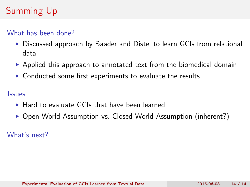### What has been done?

- ► Discussed approach by Baader and Distel to learn GCIs from relational data
- $\triangleright$  Applied this approach to annotated text from the biomedical domain
- ▶ Conducted some first experiments to evaluate the results

#### **Issues**

- ▶ Hard to evaluate GCIs that have been learned
- ▶ Open World Assumption vs. Closed World Assumption (inherent?)

What's next?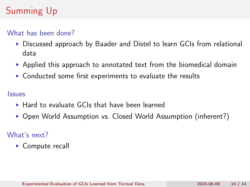### What has been done?

- ► Discussed approach by Baader and Distel to learn GCIs from relational data
- $\triangleright$  Applied this approach to annotated text from the biomedical domain
- ▶ Conducted some first experiments to evaluate the results

#### **Issues**

- ▶ Hard to evaluate GCIs that have been learned
- ▶ Open World Assumption vs. Closed World Assumption (inherent?)

## What's next?

► Compute recall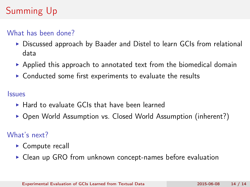### What has been done?

- ► Discussed approach by Baader and Distel to learn GCIs from relational data
- $\triangleright$  Applied this approach to annotated text from the biomedical domain
- ▶ Conducted some first experiments to evaluate the results

#### **Issues**

- ▶ Hard to evaluate GCIs that have been learned
- ▶ Open World Assumption vs. Closed World Assumption (inherent?)

## What's next?

- ► Compute recall
- Clean up GRO from unknown concept-names before evaluation